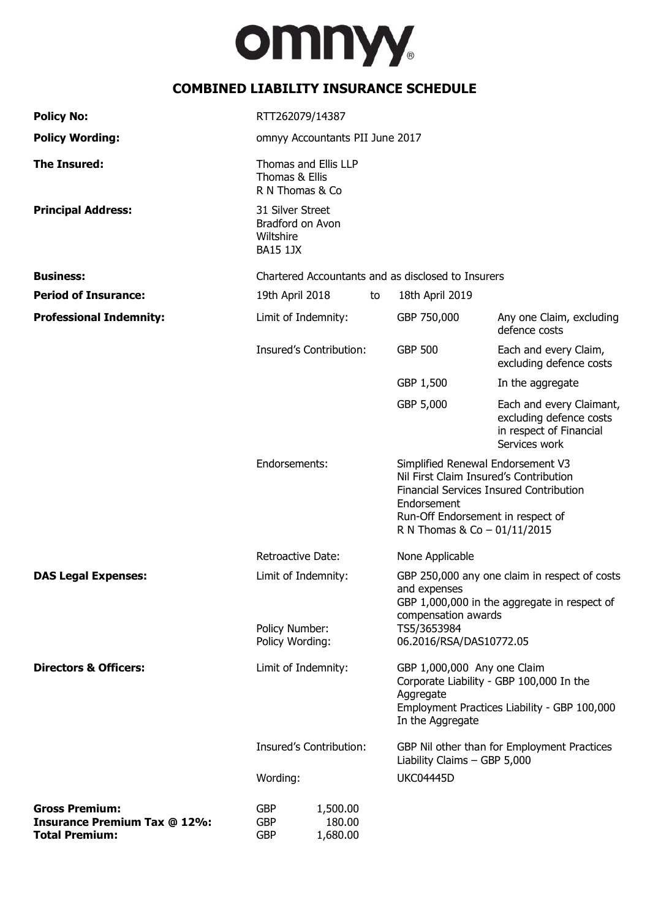

# **COMBINED LIABILITY INSURANCE SCHEDULE**

| <b>Policy No:</b>                                                                     | RTT262079/14387                                                                                                                                                                                                                                                            |                                |    |                                                                                                                                                                                                              |                                                                                                 |
|---------------------------------------------------------------------------------------|----------------------------------------------------------------------------------------------------------------------------------------------------------------------------------------------------------------------------------------------------------------------------|--------------------------------|----|--------------------------------------------------------------------------------------------------------------------------------------------------------------------------------------------------------------|-------------------------------------------------------------------------------------------------|
| <b>Policy Wording:</b>                                                                | omnyy Accountants PII June 2017                                                                                                                                                                                                                                            |                                |    |                                                                                                                                                                                                              |                                                                                                 |
| <b>The Insured:</b>                                                                   | Thomas and Ellis LLP<br>Thomas & Ellis<br>R N Thomas & Co                                                                                                                                                                                                                  |                                |    |                                                                                                                                                                                                              |                                                                                                 |
| <b>Principal Address:</b>                                                             | 31 Silver Street<br>Bradford on Avon<br>Wiltshire<br><b>BA15 1JX</b>                                                                                                                                                                                                       |                                |    |                                                                                                                                                                                                              |                                                                                                 |
| <b>Business:</b>                                                                      | Chartered Accountants and as disclosed to Insurers                                                                                                                                                                                                                         |                                |    |                                                                                                                                                                                                              |                                                                                                 |
| <b>Period of Insurance:</b>                                                           | 19th April 2018                                                                                                                                                                                                                                                            |                                | to | 18th April 2019                                                                                                                                                                                              |                                                                                                 |
| <b>Professional Indemnity:</b>                                                        | Limit of Indemnity:                                                                                                                                                                                                                                                        |                                |    | GBP 750,000                                                                                                                                                                                                  | Any one Claim, excluding<br>defence costs                                                       |
|                                                                                       | Insured's Contribution:                                                                                                                                                                                                                                                    |                                |    | <b>GBP 500</b>                                                                                                                                                                                               | Each and every Claim,<br>excluding defence costs                                                |
|                                                                                       |                                                                                                                                                                                                                                                                            |                                |    | GBP 1,500                                                                                                                                                                                                    | In the aggregate                                                                                |
|                                                                                       |                                                                                                                                                                                                                                                                            |                                |    | GBP 5,000                                                                                                                                                                                                    | Each and every Claimant,<br>excluding defence costs<br>in respect of Financial<br>Services work |
|                                                                                       | Endorsements:<br><b>Retroactive Date:</b>                                                                                                                                                                                                                                  |                                |    | Simplified Renewal Endorsement V3<br>Nil First Claim Insured's Contribution<br>Financial Services Insured Contribution<br>Endorsement<br>Run-Off Endorsement in respect of<br>R N Thomas & Co $-$ 01/11/2015 |                                                                                                 |
|                                                                                       |                                                                                                                                                                                                                                                                            |                                |    | None Applicable                                                                                                                                                                                              |                                                                                                 |
| <b>DAS Legal Expenses:</b>                                                            | Limit of Indemnity:<br>Policy Number:<br>Policy Wording:                                                                                                                                                                                                                   |                                |    | GBP 250,000 any one claim in respect of costs<br>and expenses<br>GBP 1,000,000 in the aggregate in respect of<br>compensation awards<br>TS5/3653984<br>06.2016/RSA/DAS10772.05                               |                                                                                                 |
| <b>Directors &amp; Officers:</b>                                                      | Limit of Indemnity:<br>GBP 1,000,000 Any one Claim<br>Corporate Liability - GBP 100,000 In the<br>Aggregate<br>Employment Practices Liability - GBP 100,000<br>In the Aggregate<br>Insured's Contribution:<br>Liability Claims - GBP 5,000<br><b>UKC04445D</b><br>Wording: |                                |    |                                                                                                                                                                                                              |                                                                                                 |
|                                                                                       |                                                                                                                                                                                                                                                                            |                                |    | GBP Nil other than for Employment Practices                                                                                                                                                                  |                                                                                                 |
|                                                                                       |                                                                                                                                                                                                                                                                            |                                |    |                                                                                                                                                                                                              |                                                                                                 |
| <b>Gross Premium:</b><br><b>Insurance Premium Tax @ 12%:</b><br><b>Total Premium:</b> | <b>GBP</b><br><b>GBP</b><br><b>GBP</b>                                                                                                                                                                                                                                     | 1,500.00<br>180.00<br>1,680.00 |    |                                                                                                                                                                                                              |                                                                                                 |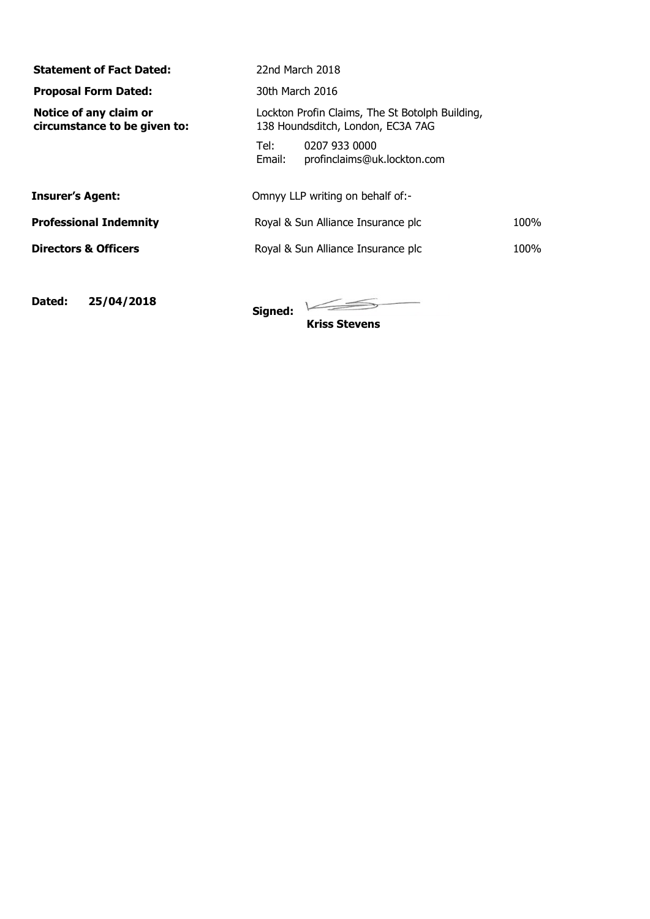| 22nd March 2018                                                                      |      |  |  |  |
|--------------------------------------------------------------------------------------|------|--|--|--|
| 30th March 2016                                                                      |      |  |  |  |
| Lockton Profin Claims, The St Botolph Building,<br>138 Houndsditch, London, EC3A 7AG |      |  |  |  |
| 0207 933 0000<br>Tel: I<br>Email:<br>profinclaims@uk.lockton.com                     |      |  |  |  |
| Omnyy LLP writing on behalf of:-                                                     |      |  |  |  |
| Royal & Sun Alliance Insurance plc                                                   |      |  |  |  |
| Royal & Sun Alliance Insurance plc                                                   | 100% |  |  |  |
|                                                                                      |      |  |  |  |
|                                                                                      |      |  |  |  |

**Dated: 25/04/2018 Signed:**

**Contractor** 

**Kriss Stevens**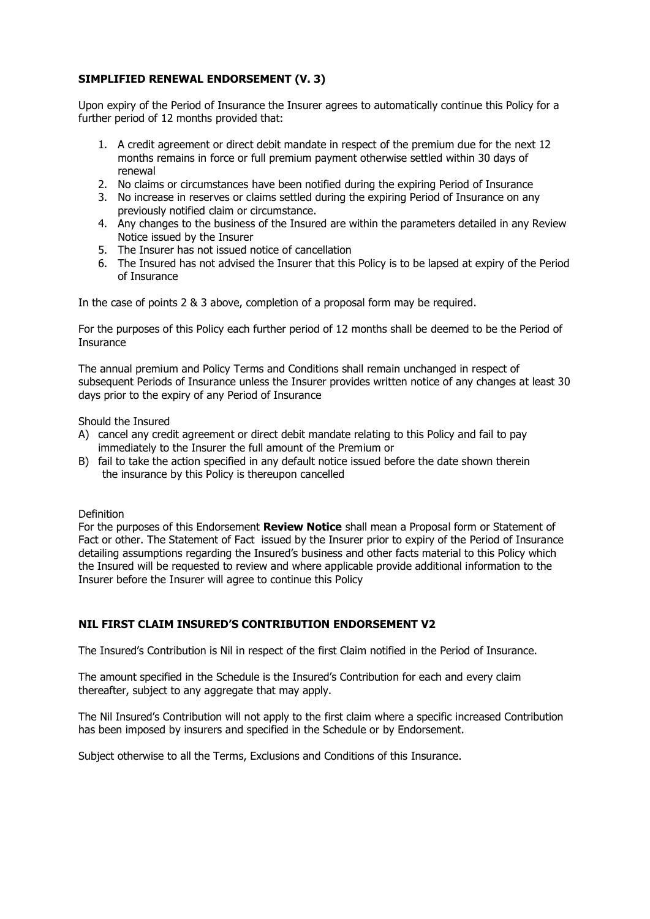# **SIMPLIFIED RENEWAL ENDORSEMENT (V. 3)**

Upon expiry of the Period of Insurance the Insurer agrees to automatically continue this Policy for a further period of 12 months provided that:

- 1. A credit agreement or direct debit mandate in respect of the premium due for the next 12 months remains in force or full premium payment otherwise settled within 30 days of renewal
- 2. No claims or circumstances have been notified during the expiring Period of Insurance
- 3. No increase in reserves or claims settled during the expiring Period of Insurance on any previously notified claim or circumstance.
- 4. Any changes to the business of the Insured are within the parameters detailed in any Review Notice issued by the Insurer
- 5. The Insurer has not issued notice of cancellation
- 6. The Insured has not advised the Insurer that this Policy is to be lapsed at expiry of the Period of Insurance

In the case of points 2 & 3 above, completion of a proposal form may be required.

For the purposes of this Policy each further period of 12 months shall be deemed to be the Period of **Insurance** 

The annual premium and Policy Terms and Conditions shall remain unchanged in respect of subsequent Periods of Insurance unless the Insurer provides written notice of any changes at least 30 days prior to the expiry of any Period of Insurance

Should the Insured

- A) cancel any credit agreement or direct debit mandate relating to this Policy and fail to pay immediately to the Insurer the full amount of the Premium or
- B) fail to take the action specified in any default notice issued before the date shown therein the insurance by this Policy is thereupon cancelled

Definition

For the purposes of this Endorsement **Review Notice** shall mean a Proposal form or Statement of Fact or other. The Statement of Fact issued by the Insurer prior to expiry of the Period of Insurance detailing assumptions regarding the Insured's business and other facts material to this Policy which the Insured will be requested to review and where applicable provide additional information to the Insurer before the Insurer will agree to continue this Policy

### **NIL FIRST CLAIM INSURED'S CONTRIBUTION ENDORSEMENT V2**

The Insured's Contribution is Nil in respect of the first Claim notified in the Period of Insurance.

The amount specified in the Schedule is the Insured's Contribution for each and every claim thereafter, subject to any aggregate that may apply.

The Nil Insured's Contribution will not apply to the first claim where a specific increased Contribution has been imposed by insurers and specified in the Schedule or by Endorsement.

Subject otherwise to all the Terms, Exclusions and Conditions of this Insurance.